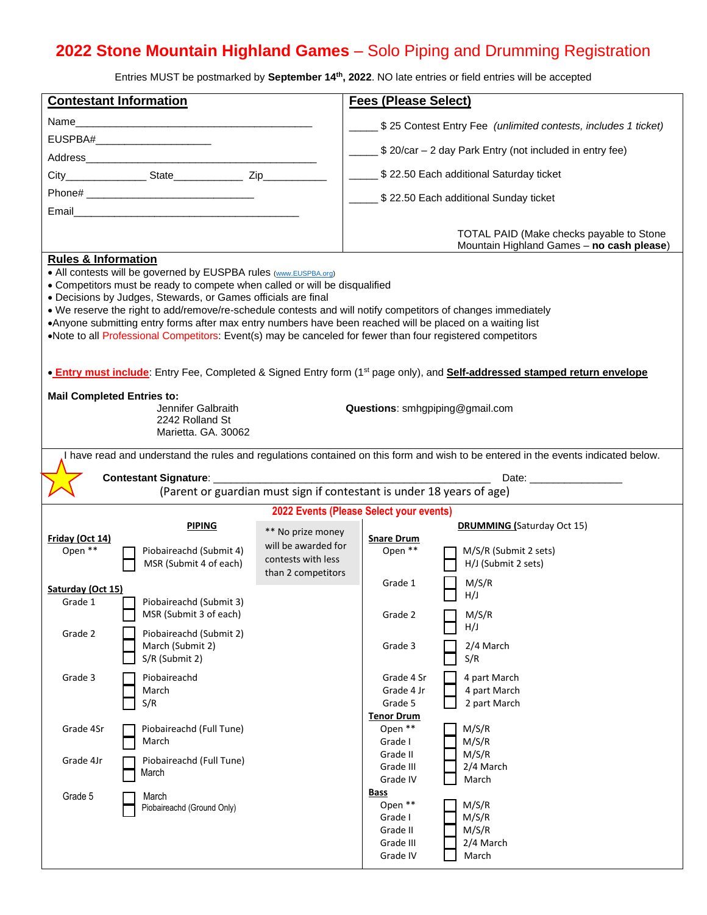## **2022 Stone Mountain Highland Games** – Solo Piping and Drumming Registration

Entries MUST be postmarked by **September 14th, 2022**. NO late entries or field entries will be accepted

| <b>Contestant Information</b>                                                                                                                                                                                                                                                                                                                                                                                                                                                                                                                                                                |                                                   | <b>Fees (Please Select)</b>                                                          |                                                                 |                                                                                       |
|----------------------------------------------------------------------------------------------------------------------------------------------------------------------------------------------------------------------------------------------------------------------------------------------------------------------------------------------------------------------------------------------------------------------------------------------------------------------------------------------------------------------------------------------------------------------------------------------|---------------------------------------------------|--------------------------------------------------------------------------------------|-----------------------------------------------------------------|---------------------------------------------------------------------------------------|
| Name                                                                                                                                                                                                                                                                                                                                                                                                                                                                                                                                                                                         |                                                   |                                                                                      | \$25 Contest Entry Fee (unlimited contests, includes 1 ticket)  |                                                                                       |
|                                                                                                                                                                                                                                                                                                                                                                                                                                                                                                                                                                                              |                                                   |                                                                                      |                                                                 |                                                                                       |
|                                                                                                                                                                                                                                                                                                                                                                                                                                                                                                                                                                                              |                                                   |                                                                                      |                                                                 | _____ \$ 20/car - 2 day Park Entry (not included in entry fee)                        |
|                                                                                                                                                                                                                                                                                                                                                                                                                                                                                                                                                                                              |                                                   |                                                                                      |                                                                 | \$22.50 Each additional Saturday ticket                                               |
|                                                                                                                                                                                                                                                                                                                                                                                                                                                                                                                                                                                              |                                                   |                                                                                      |                                                                 | _______ \$22.50 Each additional Sunday ticket                                         |
|                                                                                                                                                                                                                                                                                                                                                                                                                                                                                                                                                                                              | Email <b>Executive Community Community</b>        |                                                                                      |                                                                 |                                                                                       |
|                                                                                                                                                                                                                                                                                                                                                                                                                                                                                                                                                                                              |                                                   |                                                                                      |                                                                 | TOTAL PAID (Make checks payable to Stone<br>Mountain Highland Games - no cash please) |
| <b>Rules &amp; Information</b><br>• All contests will be governed by EUSPBA rules (www.EUSPBA.org)<br>• Competitors must be ready to compete when called or will be disqualified<br>• Decisions by Judges, Stewards, or Games officials are final<br>. We reserve the right to add/remove/re-schedule contests and will notify competitors of changes immediately<br>•Anyone submitting entry forms after max entry numbers have been reached will be placed on a waiting list<br>•Note to all Professional Competitors: Event(s) may be canceled for fewer than four registered competitors |                                                   |                                                                                      |                                                                 |                                                                                       |
| • Entry must include: Entry Fee, Completed & Signed Entry form (1 <sup>st</sup> page only), and Self-addressed stamped return envelope                                                                                                                                                                                                                                                                                                                                                                                                                                                       |                                                   |                                                                                      |                                                                 |                                                                                       |
| <b>Mail Completed Entries to:</b><br>Jennifer Galbraith<br>Questions: smhgpiping@gmail.com<br>2242 Rolland St<br>Marietta, GA, 30062                                                                                                                                                                                                                                                                                                                                                                                                                                                         |                                                   |                                                                                      |                                                                 |                                                                                       |
| I have read and understand the rules and regulations contained on this form and wish to be entered in the events indicated below.                                                                                                                                                                                                                                                                                                                                                                                                                                                            |                                                   |                                                                                      |                                                                 |                                                                                       |
| Date: <u>Date:</u>                                                                                                                                                                                                                                                                                                                                                                                                                                                                                                                                                                           |                                                   |                                                                                      |                                                                 |                                                                                       |
| (Parent or guardian must sign if contestant is under 18 years of age)                                                                                                                                                                                                                                                                                                                                                                                                                                                                                                                        |                                                   |                                                                                      |                                                                 |                                                                                       |
| 2022 Events (Please Select your events)<br><b>DRUMMING</b> (Saturday Oct 15)<br><b>PIPING</b>                                                                                                                                                                                                                                                                                                                                                                                                                                                                                                |                                                   |                                                                                      |                                                                 |                                                                                       |
| Friday (Oct 14)<br>Open **                                                                                                                                                                                                                                                                                                                                                                                                                                                                                                                                                                   | Piobaireachd (Submit 4)<br>MSR (Submit 4 of each) | ** No prize money<br>will be awarded for<br>contests with less<br>than 2 competitors | <b>Snare Drum</b><br>Open **                                    | M/S/R (Submit 2 sets)<br>H/J (Submit 2 sets)                                          |
| Saturday (Oct 15)                                                                                                                                                                                                                                                                                                                                                                                                                                                                                                                                                                            |                                                   |                                                                                      | Grade 1                                                         | M/S/R                                                                                 |
| Grade 1                                                                                                                                                                                                                                                                                                                                                                                                                                                                                                                                                                                      | Piobaireachd (Submit 3)<br>MSR (Submit 3 of each) |                                                                                      | Grade 2                                                         | H/J<br>M/S/R                                                                          |
| Grade 2                                                                                                                                                                                                                                                                                                                                                                                                                                                                                                                                                                                      | Piobaireachd (Submit 2)                           |                                                                                      |                                                                 | H/J                                                                                   |
|                                                                                                                                                                                                                                                                                                                                                                                                                                                                                                                                                                                              | March (Submit 2)<br>S/R (Submit 2)                |                                                                                      | Grade 3                                                         | 2/4 March<br>S/R                                                                      |
| Grade 3                                                                                                                                                                                                                                                                                                                                                                                                                                                                                                                                                                                      | Piobaireachd<br>March                             |                                                                                      | Grade 4 Sr<br>Grade 4 Jr<br>Grade 5                             | 4 part March<br>4 part March                                                          |
|                                                                                                                                                                                                                                                                                                                                                                                                                                                                                                                                                                                              | S/R                                               |                                                                                      | <b>Tenor Drum</b>                                               | 2 part March                                                                          |
| Grade 4Sr                                                                                                                                                                                                                                                                                                                                                                                                                                                                                                                                                                                    | Piobaireachd (Full Tune)<br>March                 |                                                                                      | Open **<br>Grade I                                              | M/S/R<br>M/S/R                                                                        |
| Grade 4Jr                                                                                                                                                                                                                                                                                                                                                                                                                                                                                                                                                                                    | Piobaireachd (Full Tune)<br>March                 |                                                                                      | Grade II<br>Grade III<br>Grade IV                               | M/S/R<br>2/4 March<br>March                                                           |
| Grade 5                                                                                                                                                                                                                                                                                                                                                                                                                                                                                                                                                                                      | March<br>Piobaireachd (Ground Only)               |                                                                                      | Bass<br>Open **<br>Grade I<br>Grade II<br>Grade III<br>Grade IV | M/S/R<br>M/S/R<br>M/S/R<br>2/4 March<br>March                                         |